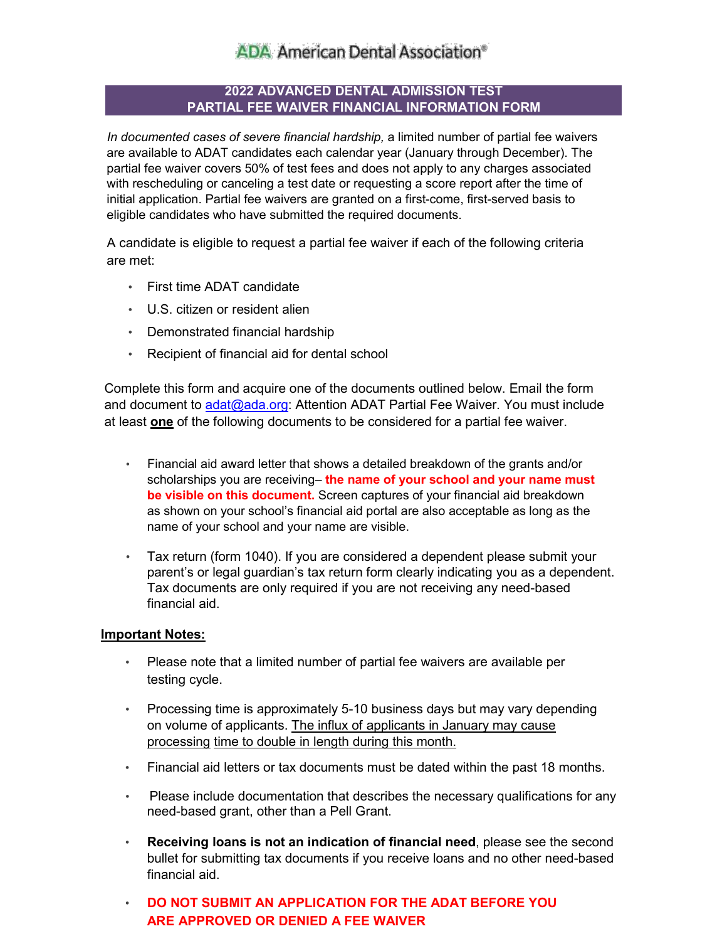# **ADA American Dental Association®**

### **2022 ADVANCED DENTAL ADMISSION TEST PARTIAL FEE WAIVER FINANCIAL INFORMATION FORM**

*In documented cases of severe financial hardship,* a limited number of partial fee waivers are available to ADAT candidates each calendar year (January through December). The partial fee waiver covers 50% of test fees and does not apply to any charges associated with rescheduling or canceling a test date or requesting a score report after the time of initial application. Partial fee waivers are granted on a first-come, first-served basis to eligible candidates who have submitted the required documents.

A candidate is eligible to request a partial fee waiver if each of the following criteria are met:

- First time ADAT candidate
- U.S. citizen or resident alien
- Demonstrated financial hardship
- Recipient of financial aid for dental school

Complete this form and acquire one of the documents outlined below. Email the form and document to adat@ada.org: Attention [ADAT Partial F](mailto:adat@ada.org)ee Waiver. You must include at least **one** of the following documents to be considered for a partial fee waiver.

- Financial aid award letter that shows a detailed breakdown of the grants and/or scholarships you are receiving– **the name of your school and your name must be visible on this document.** Screen captures of your financial aid breakdown as shown on your school's financial aid portal are also acceptable as long as the name of your school and your name are visible.
- Tax return (form 1040). If you are considered a dependent please submit your parent's or legal guardian's tax return form clearly indicating you as a dependent. Tax documents are only required if you are not receiving any need-based financial aid.

### **Important Notes:**

- Please note that a limited number of partial fee waivers are available per testing cycle.
- Processing time is approximately 5-10 business days but may vary depending on volume of applicants. The influx of applicants in January may cause processing time to double in length during this month.
- Financial aid letters or tax documents must be dated within the past 18 months.
- Please include documentation that describes the necessary qualifications for any need-based grant, other than a Pell Grant.
- **Receiving loans is not an indication of financial need**, please see the second bullet for submitting tax documents if you receive loans and no other need-based financial aid.
- **DO NOT SUBMIT AN APPLICATION FOR THE ADAT BEFORE YOU ARE APPROVED OR DENIED A FEE WAIVER**